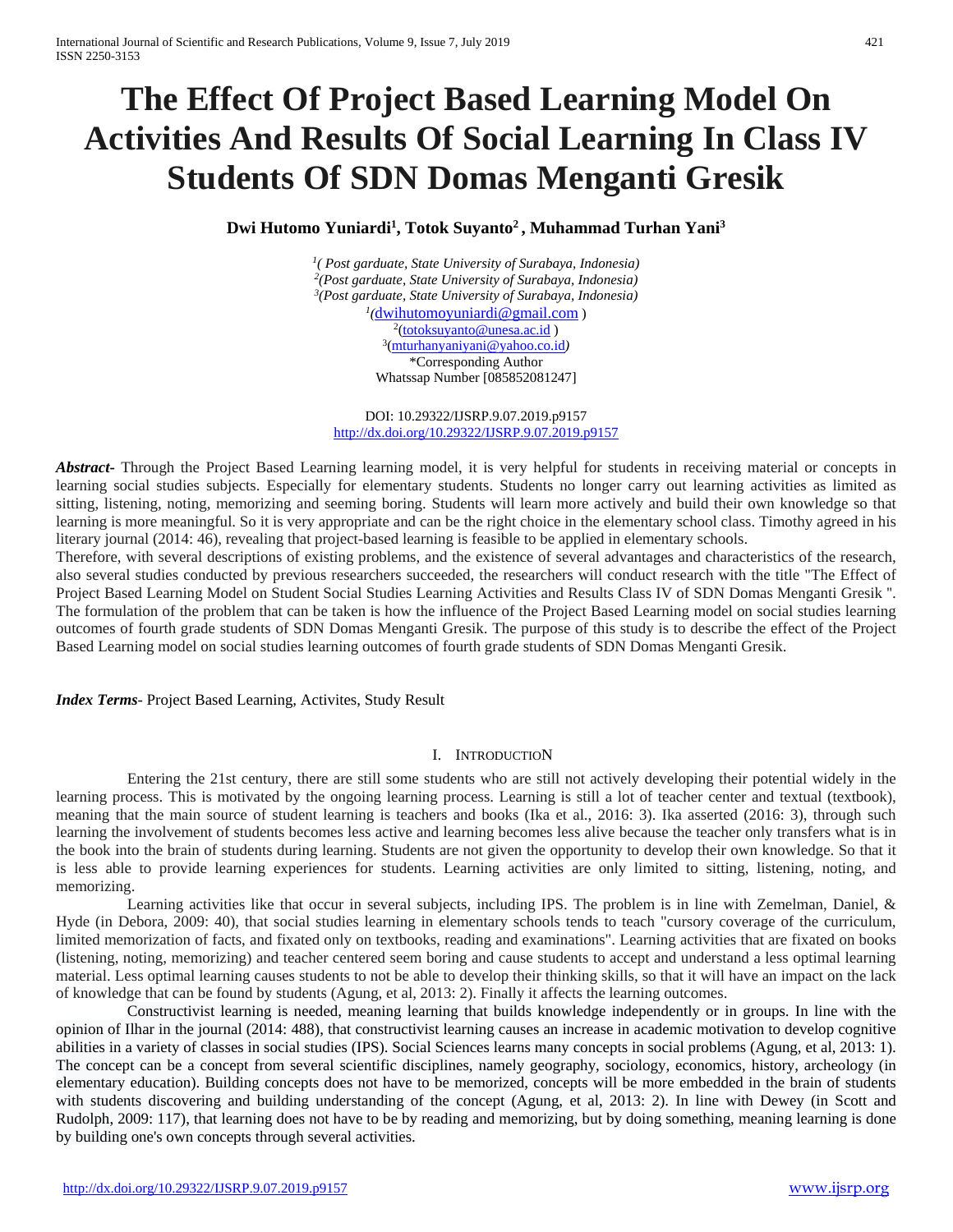# **The Effect Of Project Based Learning Model On Activities And Results Of Social Learning In Class IV Students Of SDN Domas Menganti Gresik**

# **Dwi Hutomo Yuniardi1 , Totok Suyanto2 , Muhammad Turhan Yani3**

*1( Post garduate, State University of Surabaya, Indonesia) 2(Post garduate, State University of Surabaya, Indonesia) 3(Post garduate, State University of Surabaya, Indonesia) 1(*[dwihutomoyuniardi@gmail.com](mailto:rizqi.miftaqul@gmail.com) ) <sup>2</sup>[\(totoksuyanto@unesa.ac.id](mailto:totoksuyanto@unesa.ac.id)) 3[\(mturhanyaniyani@yahoo.co.id](mailto:mturhanyaniyani@yahoo.co.id)*)* \*Corresponding Author Whatssap Number [085852081247]

DOI: 10.29322/IJSRP.9.07.2019.p9157 <http://dx.doi.org/10.29322/IJSRP.9.07.2019.p9157>

*Abstract***-** Through the Project Based Learning learning model, it is very helpful for students in receiving material or concepts in learning social studies subjects. Especially for elementary students. Students no longer carry out learning activities as limited as sitting, listening, noting, memorizing and seeming boring. Students will learn more actively and build their own knowledge so that learning is more meaningful. So it is very appropriate and can be the right choice in the elementary school class. Timothy agreed in his literary journal (2014: 46), revealing that project-based learning is feasible to be applied in elementary schools.

Therefore, with several descriptions of existing problems, and the existence of several advantages and characteristics of the research, also several studies conducted by previous researchers succeeded, the researchers will conduct research with the title "The Effect of Project Based Learning Model on Student Social Studies Learning Activities and Results Class IV of SDN Domas Menganti Gresik ''. The formulation of the problem that can be taken is how the influence of the Project Based Learning model on social studies learning outcomes of fourth grade students of SDN Domas Menganti Gresik. The purpose of this study is to describe the effect of the Project Based Learning model on social studies learning outcomes of fourth grade students of SDN Domas Menganti Gresik.

*Index Terms*- Project Based Learning, Activites, Study Result

# I. INTRODUCTION

Entering the 21st century, there are still some students who are still not actively developing their potential widely in the learning process. This is motivated by the ongoing learning process. Learning is still a lot of teacher center and textual (textbook), meaning that the main source of student learning is teachers and books (Ika et al., 2016: 3). Ika asserted (2016: 3), through such learning the involvement of students becomes less active and learning becomes less alive because the teacher only transfers what is in the book into the brain of students during learning. Students are not given the opportunity to develop their own knowledge. So that it is less able to provide learning experiences for students. Learning activities are only limited to sitting, listening, noting, and memorizing.

Learning activities like that occur in several subjects, including IPS. The problem is in line with Zemelman, Daniel, & Hyde (in Debora, 2009: 40), that social studies learning in elementary schools tends to teach "cursory coverage of the curriculum, limited memorization of facts, and fixated only on textbooks, reading and examinations". Learning activities that are fixated on books (listening, noting, memorizing) and teacher centered seem boring and cause students to accept and understand a less optimal learning material. Less optimal learning causes students to not be able to develop their thinking skills, so that it will have an impact on the lack of knowledge that can be found by students (Agung, et al, 2013: 2). Finally it affects the learning outcomes.

Constructivist learning is needed, meaning learning that builds knowledge independently or in groups. In line with the opinion of Ilhar in the journal (2014: 488), that constructivist learning causes an increase in academic motivation to develop cognitive abilities in a variety of classes in social studies (IPS). Social Sciences learns many concepts in social problems (Agung, et al, 2013: 1). The concept can be a concept from several scientific disciplines, namely geography, sociology, economics, history, archeology (in elementary education). Building concepts does not have to be memorized, concepts will be more embedded in the brain of students with students discovering and building understanding of the concept (Agung, et al, 2013: 2). In line with Dewey (in Scott and Rudolph, 2009: 117), that learning does not have to be by reading and memorizing, but by doing something, meaning learning is done by building one's own concepts through several activities.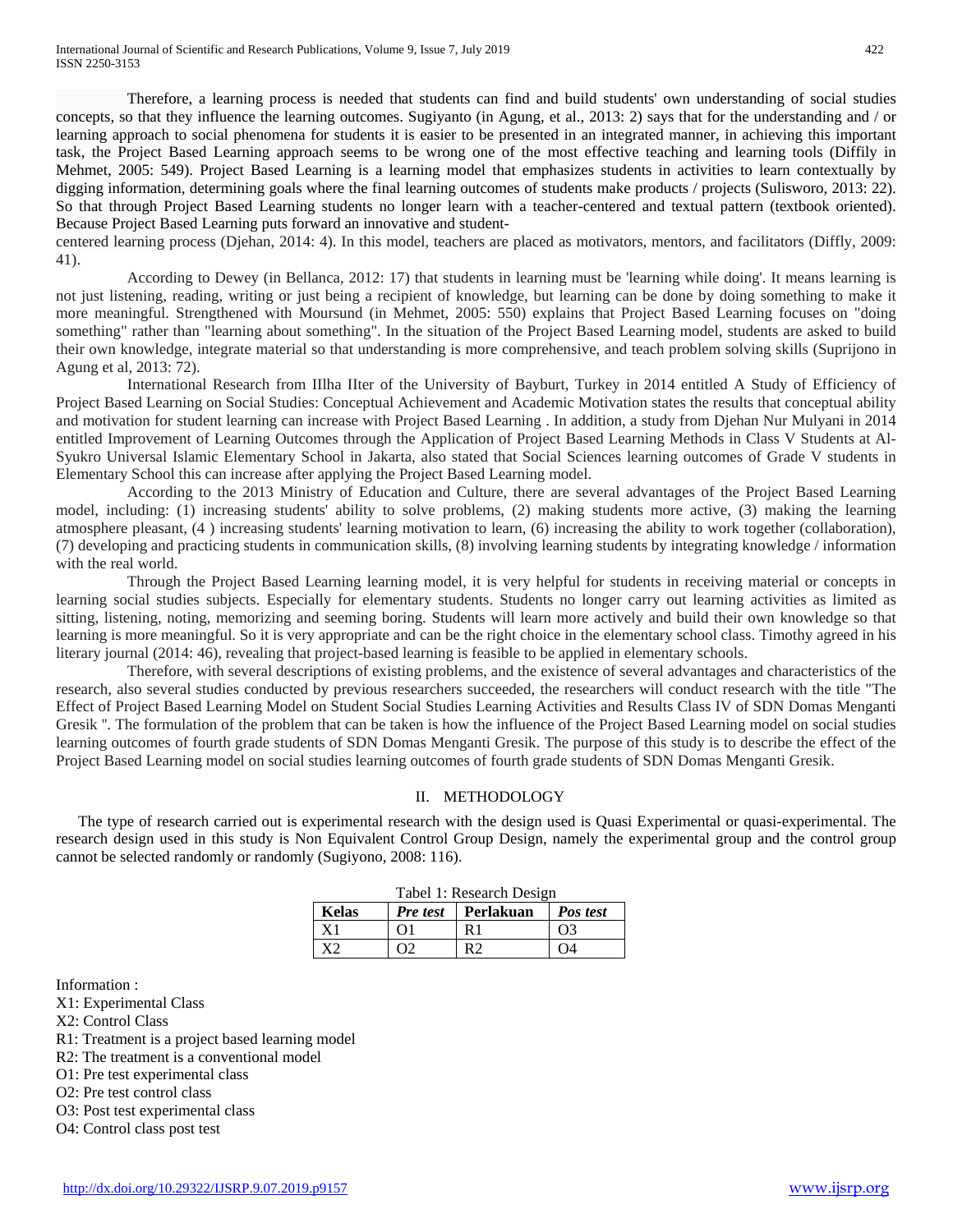Therefore, a learning process is needed that students can find and build students' own understanding of social studies concepts, so that they influence the learning outcomes. Sugiyanto (in Agung, et al., 2013: 2) says that for the understanding and / or learning approach to social phenomena for students it is easier to be presented in an integrated manner, in achieving this important task, the Project Based Learning approach seems to be wrong one of the most effective teaching and learning tools (Diffily in Mehmet, 2005: 549). Project Based Learning is a learning model that emphasizes students in activities to learn contextually by digging information, determining goals where the final learning outcomes of students make products / projects (Sulisworo, 2013: 22). So that through Project Based Learning students no longer learn with a teacher-centered and textual pattern (textbook oriented). Because Project Based Learning puts forward an innovative and student-

centered learning process (Djehan, 2014: 4). In this model, teachers are placed as motivators, mentors, and facilitators (Diffly, 2009: 41).

According to Dewey (in Bellanca, 2012: 17) that students in learning must be 'learning while doing'. It means learning is not just listening, reading, writing or just being a recipient of knowledge, but learning can be done by doing something to make it more meaningful. Strengthened with Moursund (in Mehmet, 2005: 550) explains that Project Based Learning focuses on "doing something" rather than "learning about something". In the situation of the Project Based Learning model, students are asked to build their own knowledge, integrate material so that understanding is more comprehensive, and teach problem solving skills (Suprijono in Agung et al, 2013: 72).

International Research from IIlha IIter of the University of Bayburt, Turkey in 2014 entitled A Study of Efficiency of Project Based Learning on Social Studies: Conceptual Achievement and Academic Motivation states the results that conceptual ability and motivation for student learning can increase with Project Based Learning . In addition, a study from Djehan Nur Mulyani in 2014 entitled Improvement of Learning Outcomes through the Application of Project Based Learning Methods in Class V Students at Al-Syukro Universal Islamic Elementary School in Jakarta, also stated that Social Sciences learning outcomes of Grade V students in Elementary School this can increase after applying the Project Based Learning model.

According to the 2013 Ministry of Education and Culture, there are several advantages of the Project Based Learning model, including: (1) increasing students' ability to solve problems, (2) making students more active, (3) making the learning atmosphere pleasant, (4 ) increasing students' learning motivation to learn, (6) increasing the ability to work together (collaboration), (7) developing and practicing students in communication skills, (8) involving learning students by integrating knowledge / information with the real world.

Through the Project Based Learning learning model, it is very helpful for students in receiving material or concepts in learning social studies subjects. Especially for elementary students. Students no longer carry out learning activities as limited as sitting, listening, noting, memorizing and seeming boring. Students will learn more actively and build their own knowledge so that learning is more meaningful. So it is very appropriate and can be the right choice in the elementary school class. Timothy agreed in his literary journal (2014: 46), revealing that project-based learning is feasible to be applied in elementary schools.

Therefore, with several descriptions of existing problems, and the existence of several advantages and characteristics of the research, also several studies conducted by previous researchers succeeded, the researchers will conduct research with the title "The Effect of Project Based Learning Model on Student Social Studies Learning Activities and Results Class IV of SDN Domas Menganti Gresik ''. The formulation of the problem that can be taken is how the influence of the Project Based Learning model on social studies learning outcomes of fourth grade students of SDN Domas Menganti Gresik. The purpose of this study is to describe the effect of the Project Based Learning model on social studies learning outcomes of fourth grade students of SDN Domas Menganti Gresik.

# II. METHODOLOGY

The type of research carried out is experimental research with the design used is Quasi Experimental or quasi-experimental. The research design used in this study is Non Equivalent Control Group Design, namely the experimental group and the control group cannot be selected randomly or randomly (Sugiyono, 2008: 116).

| Tabel 1: Research Design |            |                             |            |  |
|--------------------------|------------|-----------------------------|------------|--|
| <b>Kelas</b>             |            | <i>Pre test</i>   Perlakuan | Pos test   |  |
| Χ1                       | $\Omega$ 1 | R 1                         | $\Omega$ 3 |  |
|                          |            |                             |            |  |

Information :

X1: Experimental Class

X2: Control Class

R1: Treatment is a project based learning model

R2: The treatment is a conventional model

O1: Pre test experimental class

O2: Pre test control class

O3: Post test experimental class

O4: Control class post test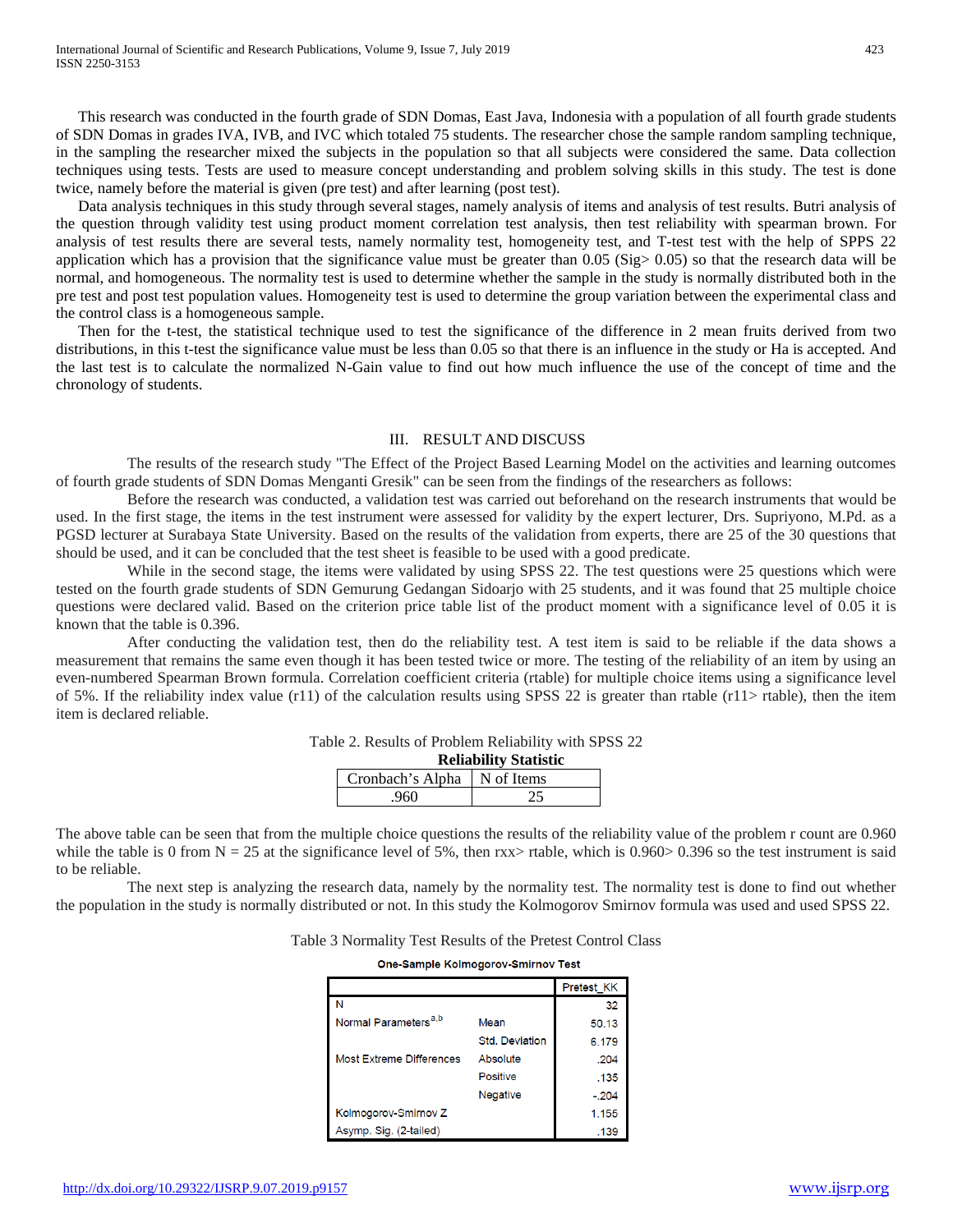This research was conducted in the fourth grade of SDN Domas, East Java, Indonesia with a population of all fourth grade students of SDN Domas in grades IVA, IVB, and IVC which totaled 75 students. The researcher chose the sample random sampling technique, in the sampling the researcher mixed the subjects in the population so that all subjects were considered the same. Data collection techniques using tests. Tests are used to measure concept understanding and problem solving skills in this study. The test is done twice, namely before the material is given (pre test) and after learning (post test).

Data analysis techniques in this study through several stages, namely analysis of items and analysis of test results. Butri analysis of the question through validity test using product moment correlation test analysis, then test reliability with spearman brown. For analysis of test results there are several tests, namely normality test, homogeneity test, and T-test test with the help of SPPS 22 application which has a provision that the significance value must be greater than  $0.05$  (Sig $> 0.05$ ) so that the research data will be normal, and homogeneous. The normality test is used to determine whether the sample in the study is normally distributed both in the pre test and post test population values. Homogeneity test is used to determine the group variation between the experimental class and the control class is a homogeneous sample.

Then for the t-test, the statistical technique used to test the significance of the difference in 2 mean fruits derived from two distributions, in this t-test the significance value must be less than 0.05 so that there is an influence in the study or Ha is accepted. And the last test is to calculate the normalized N-Gain value to find out how much influence the use of the concept of time and the chronology of students.

### III. RESULT AND DISCUSS

The results of the research study "The Effect of the Project Based Learning Model on the activities and learning outcomes of fourth grade students of SDN Domas Menganti Gresik" can be seen from the findings of the researchers as follows:

Before the research was conducted, a validation test was carried out beforehand on the research instruments that would be used. In the first stage, the items in the test instrument were assessed for validity by the expert lecturer, Drs. Supriyono, M.Pd. as a PGSD lecturer at Surabaya State University. Based on the results of the validation from experts, there are 25 of the 30 questions that should be used, and it can be concluded that the test sheet is feasible to be used with a good predicate.

While in the second stage, the items were validated by using SPSS 22. The test questions were 25 questions which were tested on the fourth grade students of SDN Gemurung Gedangan Sidoarjo with 25 students, and it was found that 25 multiple choice questions were declared valid. Based on the criterion price table list of the product moment with a significance level of 0.05 it is known that the table is 0.396.

After conducting the validation test, then do the reliability test. A test item is said to be reliable if the data shows a measurement that remains the same even though it has been tested twice or more. The testing of the reliability of an item by using an even-numbered Spearman Brown formula. Correlation coefficient criteria (rtable) for multiple choice items using a significance level of 5%. If the reliability index value (r11) of the calculation results using SPSS 22 is greater than rtable (r11> rtable), then the item item is declared reliable.

| Table 2. Results of Problem Reliability with SPSS 22 |  |  |  |  |
|------------------------------------------------------|--|--|--|--|
|                                                      |  |  |  |  |

| <b>Reliability Statistic</b>  |  |  |  |
|-------------------------------|--|--|--|
| Cronbach's Alpha   N of Items |  |  |  |
| .960                          |  |  |  |

The above table can be seen that from the multiple choice questions the results of the reliability value of the problem r count are 0.960 while the table is 0 from  $N = 25$  at the significance level of 5%, then rxx> rtable, which is 0.960> 0.396 so the test instrument is said to be reliable.

The next step is analyzing the research data, namely by the normality test. The normality test is done to find out whether the population in the study is normally distributed or not. In this study the Kolmogorov Smirnov formula was used and used SPSS 22.

|  |  | Table 3 Normality Test Results of the Pretest Control Class |
|--|--|-------------------------------------------------------------|
|--|--|-------------------------------------------------------------|

One-Sample Kolmogorov-Smirnov Test

|                                  |                       | Pretest KK |
|----------------------------------|-----------------------|------------|
|                                  |                       | 32         |
| Normal Parameters <sup>a,b</sup> | Mean                  | 50.13      |
|                                  | <b>Std. Deviation</b> | 6.179      |
| Most Extreme Differences         | Absolute              | .204       |
|                                  | <b>Positive</b>       | .135       |
|                                  | <b>Negative</b>       | $-204$     |
| Kolmogorov-Smirnov Z             |                       | 1.155      |
| Asymp. Sig. (2-tailed)           |                       | .139       |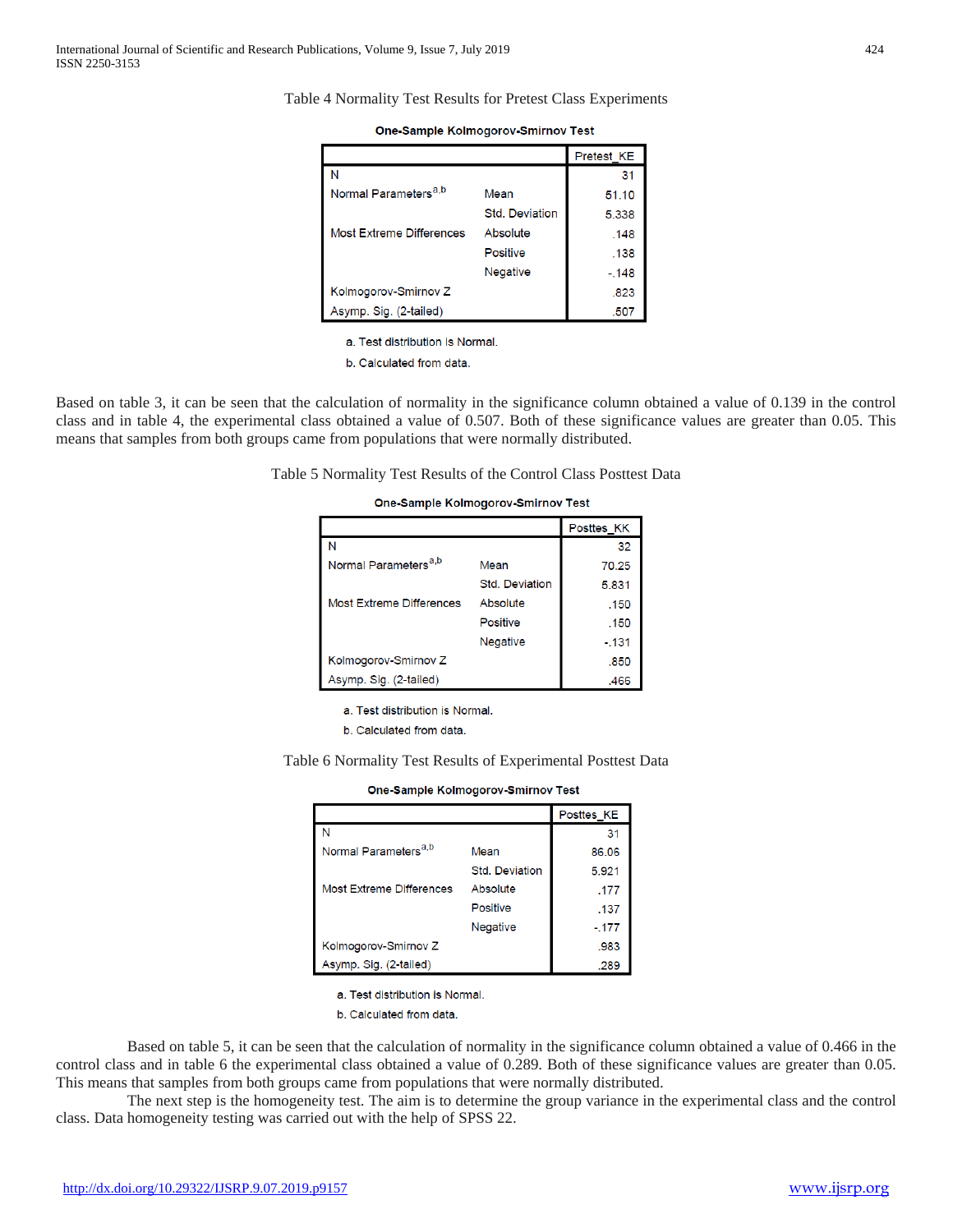|                                  |                       | Pretest KE |
|----------------------------------|-----------------------|------------|
| N                                |                       | 31         |
| Normal Parameters <sup>a,b</sup> | Mean                  | 51.10      |
|                                  | <b>Std. Deviation</b> | 5.338      |
| <b>Most Extreme Differences</b>  | Absolute              | .148       |
|                                  | <b>Positive</b>       | .138       |
|                                  | <b>Negative</b>       | $-.148$    |
| Kolmogorov-Smirnov Z             |                       | .823       |
| Asymp. Sig. (2-tailed)           |                       | .507       |

| One-Sample Kolmogorov-Smirnov Test |  |  |
|------------------------------------|--|--|
|                                    |  |  |

a. Test distribution is Normal.

b. Calculated from data.

Based on table 3, it can be seen that the calculation of normality in the significance column obtained a value of 0.139 in the control class and in table 4, the experimental class obtained a value of 0.507. Both of these significance values are greater than 0.05. This means that samples from both groups came from populations that were normally distributed.

Table 5 Normality Test Results of the Control Class Posttest Data

#### One-Sample Kolmogorov-Smirnov Test

|                                  |                       | Posttes KK |
|----------------------------------|-----------------------|------------|
|                                  |                       | 32         |
| Normal Parameters <sup>a,b</sup> | Mean                  | 70.25      |
|                                  | <b>Std. Deviation</b> | 5.831      |
| Most Extreme Differences         | Absolute              | .150       |
|                                  | Positive              | .150       |
|                                  | <b>Negative</b>       | $-131$     |
| Kolmogorov-Smirnov Z             |                       | .850       |
| Asymp. Sig. (2-tailed)           |                       | .466       |

a. Test distribution is Normal.

b. Calculated from data.

Table 6 Normality Test Results of Experimental Posttest Data

|  | One-Sample Kolmogorov-Smirnov Test |  |
|--|------------------------------------|--|
|  |                                    |  |

|                                  |                       | Posttes KE |
|----------------------------------|-----------------------|------------|
|                                  |                       | 31         |
| Normal Parameters <sup>a,b</sup> | Mean                  | 86.06      |
|                                  | <b>Std. Deviation</b> | 5.921      |
| <b>Most Extreme Differences</b>  | Absolute              | .177       |
|                                  | Positive              | .137       |
|                                  | <b>Negative</b>       | $-177$     |
| Kolmogorov-Smirnov Z             |                       | .983       |
| Asymp. Sig. (2-tailed)           |                       | .289       |

a. Test distribution is Normal.

b. Calculated from data.

Based on table 5, it can be seen that the calculation of normality in the significance column obtained a value of 0.466 in the control class and in table 6 the experimental class obtained a value of 0.289. Both of these significance values are greater than 0.05. This means that samples from both groups came from populations that were normally distributed.

The next step is the homogeneity test. The aim is to determine the group variance in the experimental class and the control class. Data homogeneity testing was carried out with the help of SPSS 22.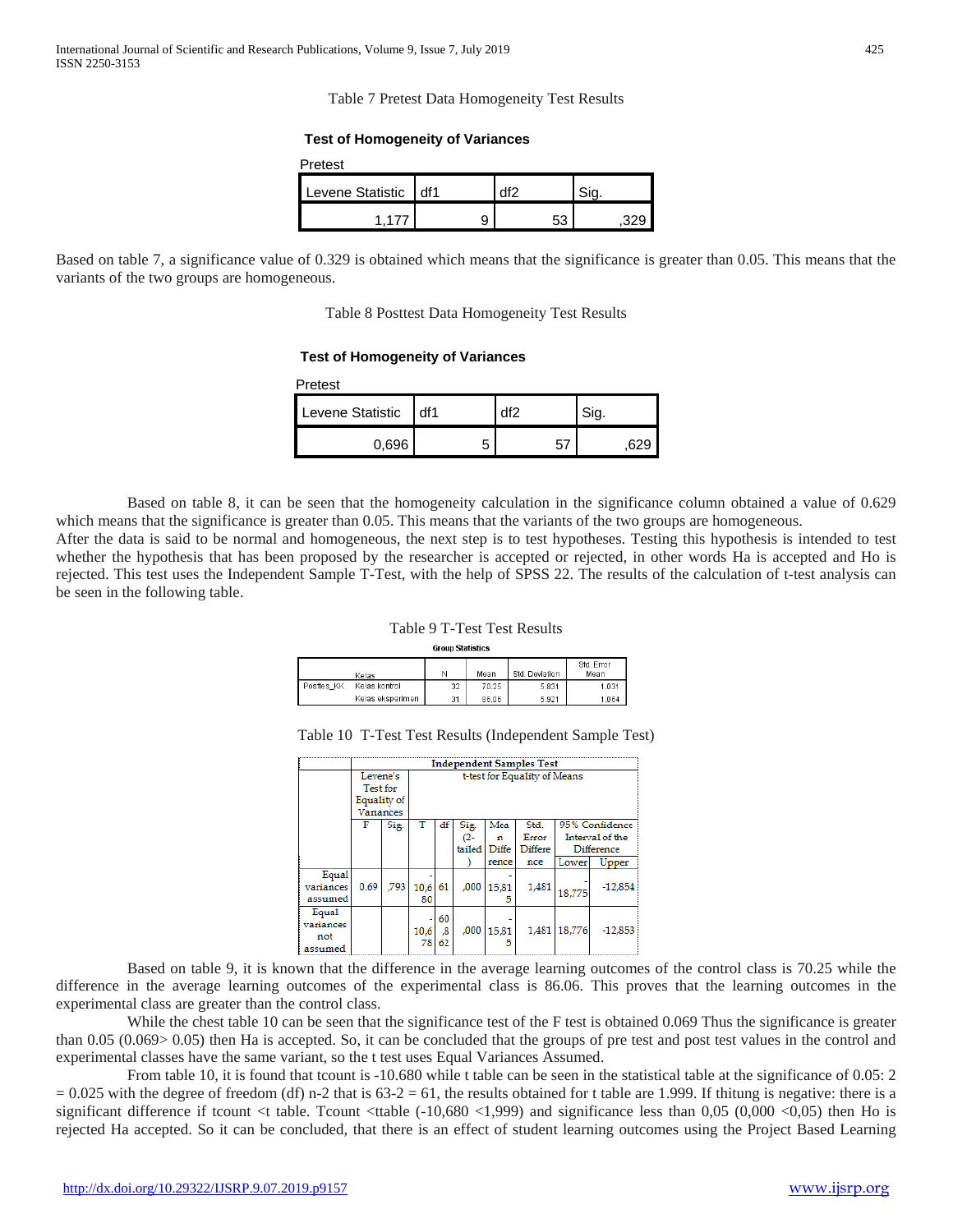Table 7 Pretest Data Homogeneity Test Results

#### **Test of Homogeneity of Variances**

| Pretest              |   |    |  |
|----------------------|---|----|--|
| Levene Statistic df1 |   |    |  |
| 1 177                | 9 | 53 |  |

Based on table 7, a significance value of 0.329 is obtained which means that the significance is greater than 0.05. This means that the variants of the two groups are homogeneous.

Table 8 Posttest Data Homogeneity Test Results

## **Test of Homogeneity of Variances**

| Pretest          |     |      |
|------------------|-----|------|
| Levene Statistic | df1 | Sig. |
| 0,696            | 5   |      |

Based on table 8, it can be seen that the homogeneity calculation in the significance column obtained a value of 0.629 which means that the significance is greater than 0.05. This means that the variants of the two groups are homogeneous.

After the data is said to be normal and homogeneous, the next step is to test hypotheses. Testing this hypothesis is intended to test whether the hypothesis that has been proposed by the researcher is accepted or rejected, in other words Ha is accepted and Ho is rejected. This test uses the Independent Sample T-Test, with the help of SPSS 22. The results of the calculation of t-test analysis can be seen in the following table.

## Table 9 T-Test Test Results

| <b>Group Statistics</b> |
|-------------------------|

|            | Kelas            |    | Mean  | Std. Deviation | Std. Error<br>Mean |
|------------|------------------|----|-------|----------------|--------------------|
| Posttes KK | Kelas kontrol    | 32 | 70.25 | 5.831          | 1.031              |
|            | Kelas eksperimen | 31 | 86.06 | 5.921          | 1.064              |

|           | <b>Independent Samples Test</b> |      |                              |          |        |       |         |        |                 |
|-----------|---------------------------------|------|------------------------------|----------|--------|-------|---------|--------|-----------------|
|           | Levene's                        |      | t-test for Equality of Means |          |        |       |         |        |                 |
|           | Test for                        |      |                              |          |        |       |         |        |                 |
|           | Equality of                     |      |                              |          |        |       |         |        |                 |
|           | <b>Variances</b>                |      |                              |          |        |       |         |        |                 |
|           | F                               | Sig. |                              | df       | Sig.   | Mea   | Std.    |        | 95% Confidence  |
|           |                                 |      |                              |          | $(2 -$ | n     | Error   |        | Interval of the |
|           |                                 |      |                              |          | tailed | Diffe | Differe |        | Difference      |
|           |                                 |      |                              |          |        | rence | nce     | Lower  | Upper           |
| Equal     |                                 |      |                              |          |        |       |         |        |                 |
| variances | 0.69                            | .793 | 10.6                         | 61       | ,000   | 15,81 | 1,481   | 18,775 | $-12,854$       |
| assumed   |                                 |      | 80                           |          |        | 5     |         |        |                 |
| Equal     |                                 |      |                              | 60       |        |       |         |        |                 |
| variances |                                 |      |                              |          | ,000   |       | 1,481   | 18.776 | $-12.853$       |
| not       |                                 |      | 10,6<br>78                   | ,8<br>62 |        | 15,81 |         |        |                 |
| assumed   |                                 |      |                              |          |        |       |         |        |                 |

Based on table 9, it is known that the difference in the average learning outcomes of the control class is 70.25 while the difference in the average learning outcomes of the experimental class is 86.06. This proves that the learning outcomes in the experimental class are greater than the control class.

While the chest table 10 can be seen that the significance test of the F test is obtained 0.069 Thus the significance is greater than 0.05 (0.069> 0.05) then Ha is accepted. So, it can be concluded that the groups of pre test and post test values in the control and experimental classes have the same variant, so the t test uses Equal Variances Assumed.

From table 10, it is found that tcount is -10.680 while t table can be seen in the statistical table at the significance of 0.05: 2  $= 0.025$  with the degree of freedom (df) n-2 that is 63-2 = 61, the results obtained for t table are 1.999. If thitung is negative: there is a significant difference if tcount  $\lt$ t table. Tcount  $\lt$ ttable (-10,680  $\lt$ 1,999) and significance less than 0,05 (0,000  $\lt$ 0,05) then Ho is rejected Ha accepted. So it can be concluded, that there is an effect of student learning outcomes using the Project Based Learning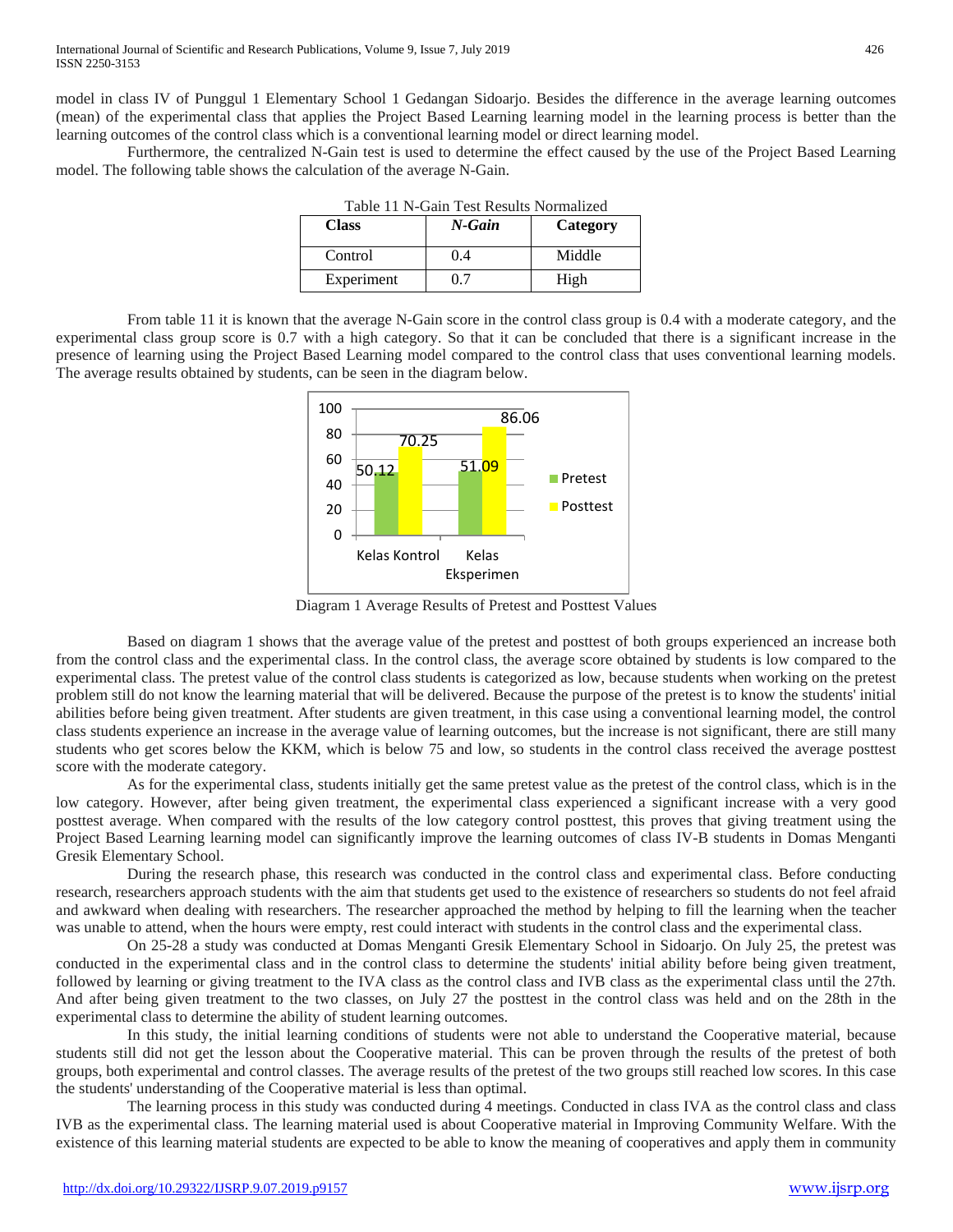model in class IV of Punggul 1 Elementary School 1 Gedangan Sidoarjo. Besides the difference in the average learning outcomes (mean) of the experimental class that applies the Project Based Learning learning model in the learning process is better than the learning outcomes of the control class which is a conventional learning model or direct learning model.

Furthermore, the centralized N-Gain test is used to determine the effect caused by the use of the Project Based Learning model. The following table shows the calculation of the average N-Gain.

| <b>Class</b> | N-Gain | Category |
|--------------|--------|----------|
| Control      | (1.4)  | Middle   |
| Experiment   |        | High     |

Table 11 N-Gain Test Results Normalized

From table 11 it is known that the average N-Gain score in the control class group is 0.4 with a moderate category, and the experimental class group score is 0.7 with a high category. So that it can be concluded that there is a significant increase in the presence of learning using the Project Based Learning model compared to the control class that uses conventional learning models. The average results obtained by students, can be seen in the diagram below.



Diagram 1 Average Results of Pretest and Posttest Values

Based on diagram 1 shows that the average value of the pretest and posttest of both groups experienced an increase both from the control class and the experimental class. In the control class, the average score obtained by students is low compared to the experimental class. The pretest value of the control class students is categorized as low, because students when working on the pretest problem still do not know the learning material that will be delivered. Because the purpose of the pretest is to know the students' initial abilities before being given treatment. After students are given treatment, in this case using a conventional learning model, the control class students experience an increase in the average value of learning outcomes, but the increase is not significant, there are still many students who get scores below the KKM, which is below 75 and low, so students in the control class received the average posttest score with the moderate category.

As for the experimental class, students initially get the same pretest value as the pretest of the control class, which is in the low category. However, after being given treatment, the experimental class experienced a significant increase with a very good posttest average. When compared with the results of the low category control posttest, this proves that giving treatment using the Project Based Learning learning model can significantly improve the learning outcomes of class IV-B students in Domas Menganti Gresik Elementary School.

During the research phase, this research was conducted in the control class and experimental class. Before conducting research, researchers approach students with the aim that students get used to the existence of researchers so students do not feel afraid and awkward when dealing with researchers. The researcher approached the method by helping to fill the learning when the teacher was unable to attend, when the hours were empty, rest could interact with students in the control class and the experimental class.

On 25-28 a study was conducted at Domas Menganti Gresik Elementary School in Sidoarjo. On July 25, the pretest was conducted in the experimental class and in the control class to determine the students' initial ability before being given treatment, followed by learning or giving treatment to the IVA class as the control class and IVB class as the experimental class until the 27th. And after being given treatment to the two classes, on July 27 the posttest in the control class was held and on the 28th in the experimental class to determine the ability of student learning outcomes.

In this study, the initial learning conditions of students were not able to understand the Cooperative material, because students still did not get the lesson about the Cooperative material. This can be proven through the results of the pretest of both groups, both experimental and control classes. The average results of the pretest of the two groups still reached low scores. In this case the students' understanding of the Cooperative material is less than optimal.

The learning process in this study was conducted during 4 meetings. Conducted in class IVA as the control class and class IVB as the experimental class. The learning material used is about Cooperative material in Improving Community Welfare. With the existence of this learning material students are expected to be able to know the meaning of cooperatives and apply them in community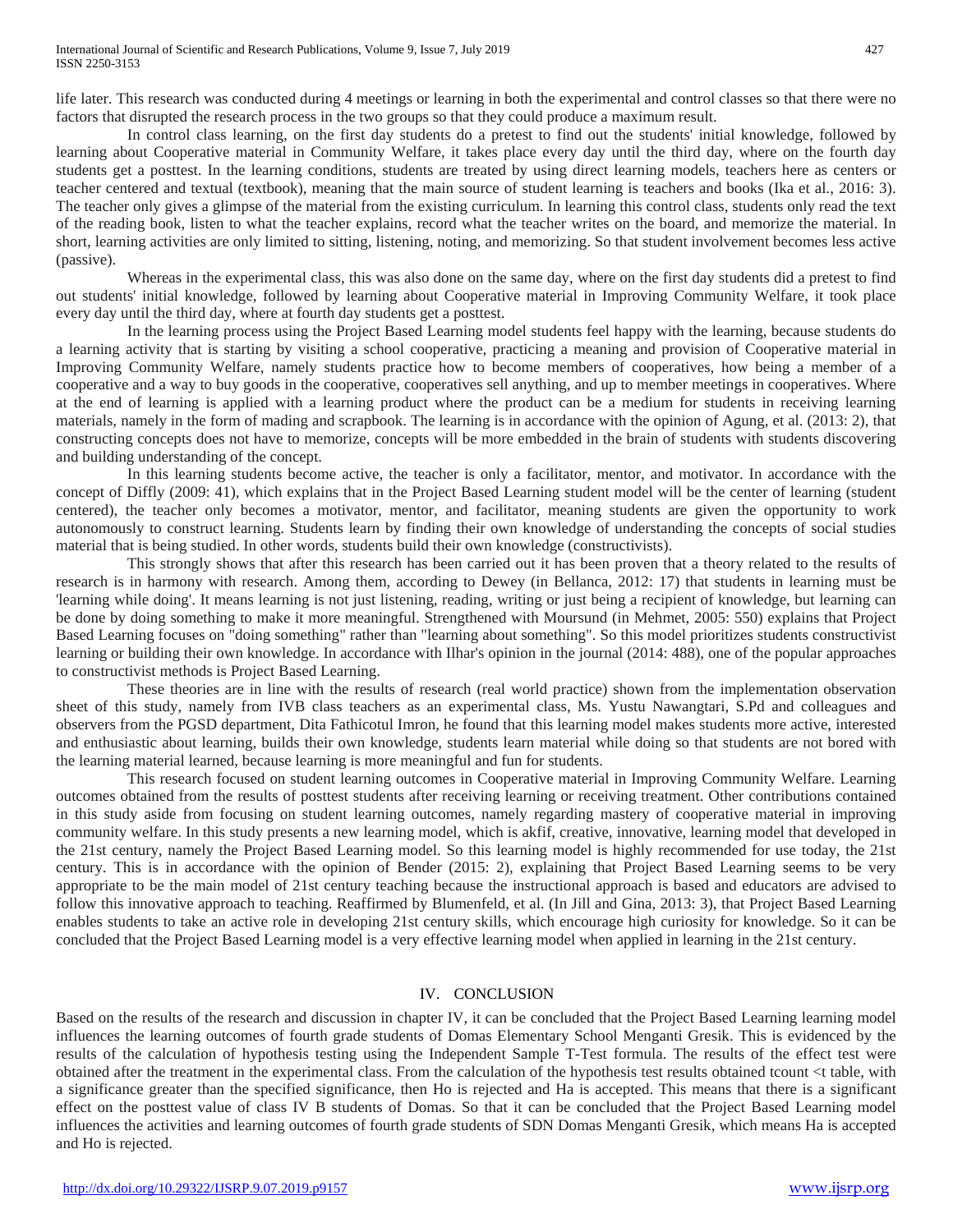life later. This research was conducted during 4 meetings or learning in both the experimental and control classes so that there were no factors that disrupted the research process in the two groups so that they could produce a maximum result.

In control class learning, on the first day students do a pretest to find out the students' initial knowledge, followed by learning about Cooperative material in Community Welfare, it takes place every day until the third day, where on the fourth day students get a posttest. In the learning conditions, students are treated by using direct learning models, teachers here as centers or teacher centered and textual (textbook), meaning that the main source of student learning is teachers and books (Ika et al., 2016: 3). The teacher only gives a glimpse of the material from the existing curriculum. In learning this control class, students only read the text of the reading book, listen to what the teacher explains, record what the teacher writes on the board, and memorize the material. In short, learning activities are only limited to sitting, listening, noting, and memorizing. So that student involvement becomes less active (passive).

Whereas in the experimental class, this was also done on the same day, where on the first day students did a pretest to find out students' initial knowledge, followed by learning about Cooperative material in Improving Community Welfare, it took place every day until the third day, where at fourth day students get a posttest.

In the learning process using the Project Based Learning model students feel happy with the learning, because students do a learning activity that is starting by visiting a school cooperative, practicing a meaning and provision of Cooperative material in Improving Community Welfare, namely students practice how to become members of cooperatives, how being a member of a cooperative and a way to buy goods in the cooperative, cooperatives sell anything, and up to member meetings in cooperatives. Where at the end of learning is applied with a learning product where the product can be a medium for students in receiving learning materials, namely in the form of mading and scrapbook. The learning is in accordance with the opinion of Agung, et al. (2013: 2), that constructing concepts does not have to memorize, concepts will be more embedded in the brain of students with students discovering and building understanding of the concept.

In this learning students become active, the teacher is only a facilitator, mentor, and motivator. In accordance with the concept of Diffly (2009: 41), which explains that in the Project Based Learning student model will be the center of learning (student centered), the teacher only becomes a motivator, mentor, and facilitator, meaning students are given the opportunity to work autonomously to construct learning. Students learn by finding their own knowledge of understanding the concepts of social studies material that is being studied. In other words, students build their own knowledge (constructivists).

This strongly shows that after this research has been carried out it has been proven that a theory related to the results of research is in harmony with research. Among them, according to Dewey (in Bellanca, 2012: 17) that students in learning must be 'learning while doing'. It means learning is not just listening, reading, writing or just being a recipient of knowledge, but learning can be done by doing something to make it more meaningful. Strengthened with Moursund (in Mehmet, 2005: 550) explains that Project Based Learning focuses on "doing something" rather than "learning about something". So this model prioritizes students constructivist learning or building their own knowledge. In accordance with Ilhar's opinion in the journal (2014: 488), one of the popular approaches to constructivist methods is Project Based Learning.

These theories are in line with the results of research (real world practice) shown from the implementation observation sheet of this study, namely from IVB class teachers as an experimental class, Ms. Yustu Nawangtari, S.Pd and colleagues and observers from the PGSD department, Dita Fathicotul Imron, he found that this learning model makes students more active, interested and enthusiastic about learning, builds their own knowledge, students learn material while doing so that students are not bored with the learning material learned, because learning is more meaningful and fun for students.

This research focused on student learning outcomes in Cooperative material in Improving Community Welfare. Learning outcomes obtained from the results of posttest students after receiving learning or receiving treatment. Other contributions contained in this study aside from focusing on student learning outcomes, namely regarding mastery of cooperative material in improving community welfare. In this study presents a new learning model, which is akfif, creative, innovative, learning model that developed in the 21st century, namely the Project Based Learning model. So this learning model is highly recommended for use today, the 21st century. This is in accordance with the opinion of Bender (2015: 2), explaining that Project Based Learning seems to be very appropriate to be the main model of 21st century teaching because the instructional approach is based and educators are advised to follow this innovative approach to teaching. Reaffirmed by Blumenfeld, et al. (In Jill and Gina, 2013: 3), that Project Based Learning enables students to take an active role in developing 21st century skills, which encourage high curiosity for knowledge. So it can be concluded that the Project Based Learning model is a very effective learning model when applied in learning in the 21st century.

# IV. CONCLUSION

Based on the results of the research and discussion in chapter IV, it can be concluded that the Project Based Learning learning model influences the learning outcomes of fourth grade students of Domas Elementary School Menganti Gresik. This is evidenced by the results of the calculation of hypothesis testing using the Independent Sample T-Test formula. The results of the effect test were obtained after the treatment in the experimental class. From the calculation of the hypothesis test results obtained tcount <t table, with a significance greater than the specified significance, then Ho is rejected and Ha is accepted. This means that there is a significant effect on the posttest value of class IV B students of Domas. So that it can be concluded that the Project Based Learning model influences the activities and learning outcomes of fourth grade students of SDN Domas Menganti Gresik, which means Ha is accepted and Ho is rejected.